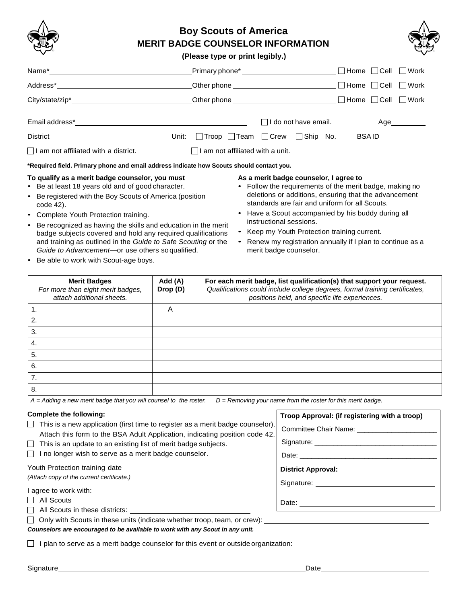

# **Boy Scouts of America MERIT BADGE COUNSELOR INFORMATION**



### **(Please type or print legibly.)**

|                                                                                                                                                                                                                                                                                                                                                                                                                                                                                                                |                                                                                                                                                                                                                               |  |                                                                                             |                    |  | ∣Home                                                                                                                                                                                                                                                                                                                                 | Cell | Work   |
|----------------------------------------------------------------------------------------------------------------------------------------------------------------------------------------------------------------------------------------------------------------------------------------------------------------------------------------------------------------------------------------------------------------------------------------------------------------------------------------------------------------|-------------------------------------------------------------------------------------------------------------------------------------------------------------------------------------------------------------------------------|--|---------------------------------------------------------------------------------------------|--------------------|--|---------------------------------------------------------------------------------------------------------------------------------------------------------------------------------------------------------------------------------------------------------------------------------------------------------------------------------------|------|--------|
|                                                                                                                                                                                                                                                                                                                                                                                                                                                                                                                | Other phone that the contract of the contract of the contract of the contract of the contract of the contract of the contract of the contract of the contract of the contract of the contract of the contract of the contract |  |                                                                                             |                    |  | $\Box$ Home                                                                                                                                                                                                                                                                                                                           | Cell | ∣ Work |
|                                                                                                                                                                                                                                                                                                                                                                                                                                                                                                                |                                                                                                                                                                                                                               |  |                                                                                             |                    |  | ∣ Home                                                                                                                                                                                                                                                                                                                                | Cell | Work   |
|                                                                                                                                                                                                                                                                                                                                                                                                                                                                                                                |                                                                                                                                                                                                                               |  |                                                                                             | do not have email. |  |                                                                                                                                                                                                                                                                                                                                       |      | Age    |
| Unit:<br>District <b>District</b>                                                                                                                                                                                                                                                                                                                                                                                                                                                                              | Troop                                                                                                                                                                                                                         |  |                                                                                             |                    |  | _ Team _ Crew _ Ship No. _____ BSA ID ___________                                                                                                                                                                                                                                                                                     |      |        |
| I am not affiliated with a district.<br>am not affiliated with a unit.                                                                                                                                                                                                                                                                                                                                                                                                                                         |                                                                                                                                                                                                                               |  |                                                                                             |                    |  |                                                                                                                                                                                                                                                                                                                                       |      |        |
| *Required field. Primary phone and email address indicate how Scouts should contact you.                                                                                                                                                                                                                                                                                                                                                                                                                       |                                                                                                                                                                                                                               |  |                                                                                             |                    |  |                                                                                                                                                                                                                                                                                                                                       |      |        |
| To qualify as a merit badge counselor, you must<br>• Be at least 18 years old and of good character.<br>Be registered with the Boy Scouts of America (position<br>$\bullet$<br>code 42).<br>Complete Youth Protection training.<br>$\bullet$<br>Be recognized as having the skills and education in the merit<br>$\bullet$<br>badge subjects covered and hold any required qualifications<br>and training as outlined in the Guide to Safe Scouting or the<br>Guide to Advancement—or use others so qualified. |                                                                                                                                                                                                                               |  | As a merit badge counselor, I agree to<br>instructional sessions.<br>merit badge counselor. |                    |  | • Follow the requirements of the merit badge, making no<br>deletions or additions, ensuring that the advancement<br>standards are fair and uniform for all Scouts.<br>• Have a Scout accompanied by his buddy during all<br>• Keep my Youth Protection training current.<br>Renew my registration annually if I plan to continue as a |      |        |

• Be able to work with Scout-age boys.

| <b>Merit Badges</b><br>For more than eight merit badges, | Add (A)<br>Drop (D) | For each merit badge, list qualification(s) that support your request.<br>Qualifications could include college degrees, formal training certificates, |
|----------------------------------------------------------|---------------------|-------------------------------------------------------------------------------------------------------------------------------------------------------|
| attach additional sheets.                                |                     | positions held, and specific life experiences.                                                                                                        |
| Ί.                                                       | A                   |                                                                                                                                                       |
| 2.                                                       |                     |                                                                                                                                                       |
| 3.                                                       |                     |                                                                                                                                                       |
| 4.                                                       |                     |                                                                                                                                                       |
| 5.                                                       |                     |                                                                                                                                                       |
| 6.                                                       |                     |                                                                                                                                                       |
| 7.                                                       |                     |                                                                                                                                                       |
| 8.                                                       |                     |                                                                                                                                                       |

*A = Adding a new merit badge that you will counsel to the roster. D = Removing your name from the roster for this merit badge.*

## **Complete the following:**

 $\Box$  This is a new application (first time to register as a merit badge counselor). Attach this form to the BSA Adult Application, indicating position code 42.

- $\Box$  This is an update to an existing list of merit badge subjects.
- $\Box$  I no longer wish to serve as a merit badge counselor.

Youth Protection training date

*(Attach copy of the current certificate.)*

I agree to work with:

 $\Box$  All Scouts

All Scouts in these districts: \_\_\_\_\_\_\_\_

 $\Box$  Only with Scouts in these units (indicate whether troop, team, or crew):

*Counselors are encouraged to be available to work with any Scout in any unit.*

I plan to serve as a merit badge counselor for this event or outside organization:

**Troop Approval: (if registering with a troop)** Committee Chair Name: \_\_\_\_\_\_\_\_\_\_\_\_\_\_\_\_\_\_\_\_\_

Signature:

Date: <u>with a set of the set of the set of the set of the set of the set of the set of the set of the set of the set of the set of the set of the set of the set of the set of the set of the set of the set of the set of the</u>

Signature:

Date: \_\_\_\_\_\_\_\_\_\_\_\_\_\_\_\_\_\_\_\_\_\_\_\_\_\_\_\_\_\_\_\_\_\_\_\_

**District Approval:**